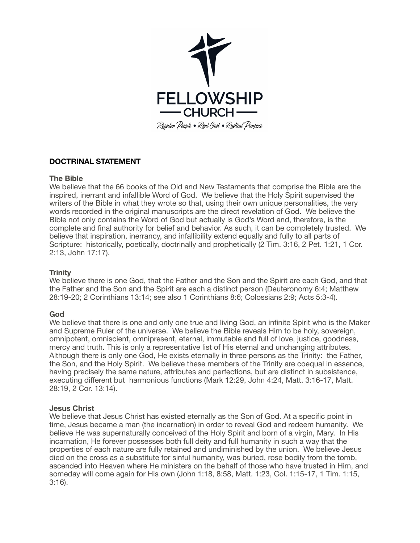

# **DOCTRINAL STATEMENT**

# **The Bible**

We believe that the 66 books of the Old and New Testaments that comprise the Bible are the inspired, inerrant and infallible Word of God. We believe that the Holy Spirit supervised the writers of the Bible in what they wrote so that, using their own unique personalities, the very words recorded in the original manuscripts are the direct revelation of God. We believe the Bible not only contains the Word of God but actually is God's Word and, therefore, is the complete and final authority for belief and behavior. As such, it can be completely trusted. We believe that inspiration, inerrancy, and infallibility extend equally and fully to all parts of Scripture: historically, poetically, doctrinally and prophetically (2 Tim. 3:16, 2 Pet. 1:21, 1 Cor. 2:13, John 17:17).

#### **Trinity**

We believe there is one God, that the Father and the Son and the Spirit are each God, and that the Father and the Son and the Spirit are each a distinct person ([Deuteronomy 6:4](https://biblia.com/bible/esv/Deut%206.4); [Matthew](https://biblia.com/bible/esv/Matt%2028.19-20)  [28:19-20](https://biblia.com/bible/esv/Matt%2028.19-20); [2 Corinthians 13:14;](https://biblia.com/bible/esv/2%20Cor%2013.14) see also [1 Corinthians 8:6](https://biblia.com/bible/esv/1%20Cor%208.6); [Colossians 2:9;](https://biblia.com/bible/esv/Col%202.9) [Acts 5:3-4](https://biblia.com/bible/esv/Acts%205.3-4)).

# **God**

We believe that there is one and only one true and living God, an infinite Spirit who is the Maker and Supreme Ruler of the universe. We believe the Bible reveals Him to be holy, sovereign, omnipotent, omniscient, omnipresent, eternal, immutable and full of love, justice, goodness, mercy and truth. This is only a representative list of His eternal and unchanging attributes. Although there is only one God, He exists eternally in three persons as the Trinity: the Father, the Son, and the Holy Spirit. We believe these members of the Trinity are coequal in essence, having precisely the same nature, attributes and perfections, but are distinct in subsistence, executing different but harmonious functions (Mark 12:29, John 4:24, Matt. 3:16-17, Matt. 28:19, 2 Cor. 13:14).

#### **Jesus Christ**

We believe that Jesus Christ has existed eternally as the Son of God. At a specific point in time, Jesus became a man (the incarnation) in order to reveal God and redeem humanity. We believe He was supernaturally conceived of the Holy Spirit and born of a virgin, Mary. In His incarnation, He forever possesses both full deity and full humanity in such a way that the properties of each nature are fully retained and undiminished by the union. We believe Jesus died on the cross as a substitute for sinful humanity, was buried, rose bodily from the tomb, ascended into Heaven where He ministers on the behalf of those who have trusted in Him, and someday will come again for His own (John 1:18, 8:58, Matt. 1:23, Col. 1:15-17, 1 Tim. 1:15, 3:16).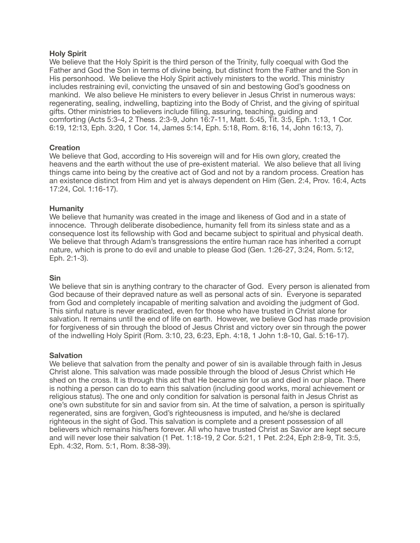#### **Holy Spirit**

We believe that the Holy Spirit is the third person of the Trinity, fully coequal with God the Father and God the Son in terms of divine being, but distinct from the Father and the Son in His personhood. We believe the Holy Spirit actively ministers to the world. This ministry includes restraining evil, convicting the unsaved of sin and bestowing God's goodness on mankind. We also believe He ministers to every believer in Jesus Christ in numerous ways: regenerating, sealing, indwelling, baptizing into the Body of Christ, and the giving of spiritual gifts. Other ministries to believers include filling, assuring, teaching, guiding and comforting (Acts 5:3-4, 2 Thess. 2:3-9, John 16:7-11, Matt. 5:45, Tit. 3:5, Eph. 1:13, 1 Cor. 6:19, 12:13, Eph. 3:20, 1 Cor. 14, James 5:14, Eph. 5:18, Rom. 8:16, 14, John 16:13, 7).

# **Creation**

We believe that God, according to His sovereign will and for His own glory, created the heavens and the earth without the use of pre-existent material. We also believe that all living things came into being by the creative act of God and not by a random process. Creation has an existence distinct from Him and yet is always dependent on Him (Gen. 2:4, Prov. 16:4, Acts 17:24, Col. 1:16-17).

#### **Humanity**

We believe that humanity was created in the image and likeness of God and in a state of innocence. Through deliberate disobedience, humanity fell from its sinless state and as a consequence lost its fellowship with God and became subject to spiritual and physical death. We believe that through Adam's transgressions the entire human race has inherited a corrupt nature, which is prone to do evil and unable to please God (Gen. 1:26-27, 3:24, Rom. 5:12, Eph. 2:1-3).

#### **Sin**

We believe that sin is anything contrary to the character of God. Every person is alienated from God because of their depraved nature as well as personal acts of sin. Everyone is separated from God and completely incapable of meriting salvation and avoiding the judgment of God. This sinful nature is never eradicated, even for those who have trusted in Christ alone for salvation. It remains until the end of life on earth. However, we believe God has made provision for forgiveness of sin through the blood of Jesus Christ and victory over sin through the power of the indwelling Holy Spirit (Rom. 3:10, 23, 6:23, Eph. 4:18, 1 John 1:8-10, Gal. 5:16-17).

#### **Salvation**

We believe that salvation from the penalty and power of sin is available through faith in Jesus Christ alone. This salvation was made possible through the blood of Jesus Christ which He shed on the cross. It is through this act that He became sin for us and died in our place. There is nothing a person can do to earn this salvation (including good works, moral achievement or religious status). The one and only condition for salvation is personal faith in Jesus Christ as one's own substitute for sin and savior from sin. At the time of salvation, a person is spiritually regenerated, sins are forgiven, God's righteousness is imputed, and he/she is declared righteous in the sight of God. This salvation is complete and a present possession of all believers which remains his/hers forever. All who have trusted Christ as Savior are kept secure and will never lose their salvation (1 Pet. 1:18-19, 2 Cor. 5:21, 1 Pet. 2:24, Eph 2:8-9, Tit. 3:5, Eph. 4:32, Rom. 5:1, Rom. 8:38-39).